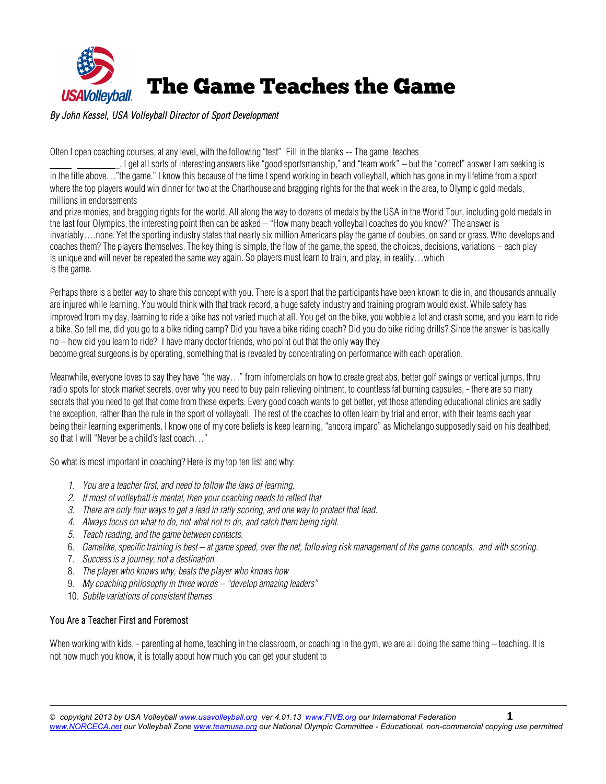

### By John Kessel, USA Volleyball Director of Sport Development

Often I open coaching courses, at any level, with the following "test" Fill in the blanks -- The game teaches

in the title above…"the game." I know this because of the time I spend working in beach volleyball, which has gone in my lifetime from a sport where the top players would win dinner for two at the Charthouse and bragging rights for the that week in the area, to Olympic gold medals, m illions in endorse ements \_. I get all sorts of interesting answers like "good sportsmanship," and "team work" — but the "correct" answer I am seeking is

and prize monies, and bragging rights for the world. All along the way to dozens of medals by the USA in the World Tour, including gold medals in the last four Olympics, the interesting point then can be asked – "How many beach volleyball coaches do you know?" The answer is invariably….none. Yet the sporting industry states that nearly six million Americans play the game of doubles, on sand or grass. Who develops and coaches them? The players themselves. The key thing is simple, the flow of the game, the speed, the choices, decisions, variations – each play is unique and will never be repeated the same way again. So players must learn to train, and play, in reality…which is the game.

Perhaps there is a better way to share this concept with you. There is a sport that the participants have been known to die in, and thousands annually are injured while learning. You would think with that track record, a huge safety industry and training program would exist. While safety has improved from my day, learning to ride a bike has not varied much at all. You get on the bike, you wobble a lot and crash some, and you learn to ride a bike. So tell me, did you go to a bike riding camp? Did you have a bike riding coach? Did you do bike riding drills? Since the answer is basically no – how did you learn to ride? I have many doctor friends, who point out that the only way they

become great surgeons is by operating, something that is revealed by concentrating on performance with each operation.

Meanwhile, everyone loves to say they have "the way…" from infomercials on how to create great abs, better golf swings or vertical jumps, thru radio spots for stock market secrets, over why you need to buy pain relieving ointment, to countless fat burning capsules, - there are so many secrets that you need to get that come from these experts. Every good coach wants to get better, yet those attending educational clinics are sadly the exception, rather than the rule in the sport of volleyball. The rest of the coaches to often learn by trial and error, with their teams each year being their learning experiments. I know one of my core beliefs is keep learning, "ancora imparo" as Michelango supposedly said on his deathbed, so that I will "Never be a child's last coach…"

So what is most important in coaching? Here is my top ten list and why:

- 1. You are a teacher first, and need to follow the laws of learning.
- 2. If most of volleyball is mental, then your coaching needs to reflect that
- 3. There are only four ways to get a lead in rally scoring, and one way to protect that lead.
- 4. Always focus on what to do, not what not to do, and catch them being right.
- 5. Teach reading, and the game between contacts.
- 6. Gamelike, specific training is best at game speed, over the net, following risk management of the game concepts, and with scoring.
- 7. Success is a journey, not a destination.
- 8. The player who knows why, beats the player who knows how
- 9. My coaching philosophy in three words "develop amazing leaders"
- 10. Subtle variations of consistent themes

#### You Are a Teacher First and Foremost

When working with kids, - parenting at home, teaching in the classroom, or coaching in the gym, we are all doing the same thing – teaching. It is not how much you know, it is totally about how much you can get your student to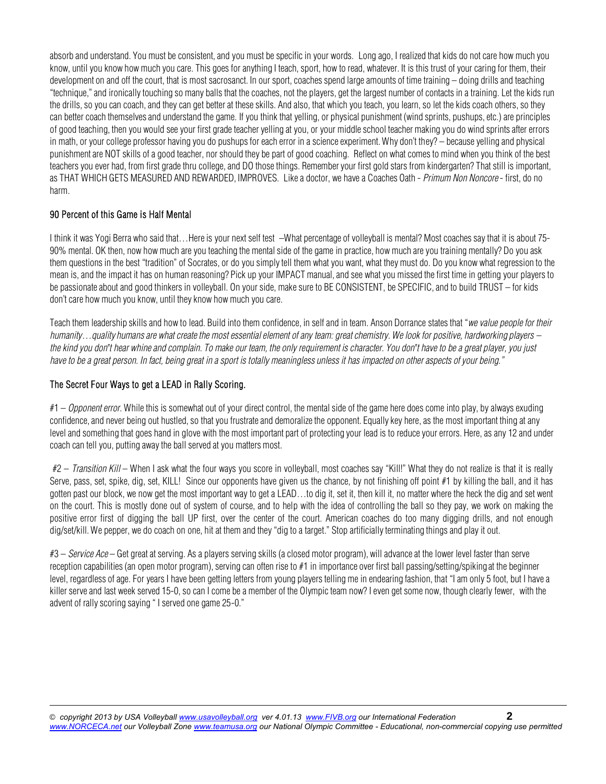absorb and understand. You must be consistent, and you must be specific in your words. Long ago, I realized that kids do not care how much you know, until you know how much you care. This goes for anything I teach, sport, how to read, whatever. It is this trust of your caring for them, their development on and off the court, that is most sacrosanct. In our sport, coaches spend large amounts of time training – doing drills and teaching "technique," and ironically touching so many balls that the coaches, not the players, get the largest number of contacts in a training. Let the kids run the drills, so you can coach, and they can get better at these skills. And also, that which you teach, you learn, so let the kids coach others, so they can better coach themselves and understand the game. If you think that yelling, or physical punishment (wind sprints, pushups, etc.) are principles of good teaching, then you would see your first grade teacher yelling at you, or your middle school teacher making you do wind sprints after errors in math, or your college professor having you do pushups for each error in a science experiment. Why don't they? – because yelling and physical punishment are NOT skills of a good teacher, nor should they be part of good coaching. Reflect on what comes to mind when you think of the best teachers you ever had, from first grade thru college, and DO those things. Remember your first gold stars from kindergarten? That still is important, as THAT WHICH GETS MEASURED AND REWARDED, IMPROVES. Like a doctor, we have a Coaches Oath - Primum Non Noncore - first, do no harm.

### 90 Percent of this Game is Half Mental

I think it was Yogi Berra who said that…Here is your next self test –What percentage of volleyball is mental? Most coaches say that it is about 75- 90% mental. OK then, now how much are you teaching the mental side of the game in practice, how much are you training mentally? Do you ask them questions in the best "tradition" of Socrates, or do you simply tell them what you want, what they must do. Do you know what regression to the mean is, and the impact it has on human reasoning? Pick up your IMPACT manual, and see what you missed the first time in getting your players to be passionate about and good thinkers in volleyball. On your side, make sure to BE CONSISTENT, be SPECIFIC, and to build TRUST – for kids don't care how much you know, until they know how much you care.

Teach them leadership skills and how to lead. Build into them confidence, in self and in team. Anson Dorrance states that "we value people for their humanity...quality humans are what create the most essential element of any team: great chemistry. We look for positive, hardworking players – the kind you don*"*t hear whine and complain. To make our team, the only requirement is character. You don*"*t have to be a great player, you just have to be a great person. In fact, being great in a sport is totally meaningless unless it has impacted on other aspects of your being."

## The Secret Four Ways to get a LEAD in Rally Scoring.

 $#1 - Opponen error$ . While this is somewhat out of your direct control, the mental side of the game here does come into play, by always exuding confidence, and never being out hustled, so that you frustrate and demoralize the opponent. Equally key here, as the most important thing at any level and something that goes hand in glove with the most important part of protecting your lead is to reduce your errors. Here, as any 12 and under coach can tell you, putting away the ball served at you matters most.

#2 – Transition Kill – When I ask what the four ways you score in volleyball, most coaches say "Kill!" What they do not realize is that it is really Serve, pass, set, spike, dig, set, KILL! Since our opponents have given us the chance, by not finishing off point #1 by killing the ball, and it has gotten past our block, we now get the most important way to get a LEAD…to dig it, set it, then kill it, no matter where the heck the dig and set went on the court. This is mostly done out of system of course, and to help with the idea of controlling the ball so they pay, we work on making the positive error first of digging the ball UP first, over the center of the court. American coaches do too many digging drills, and not enough dig/set/kill. We pepper, we do coach on one, hit at them and they "dig to a target." Stop artificially terminating things and play it out.

#3 – Service Ace – Get great at serving. As a players serving skills (a closed motor program), will advance at the lower level faster than serve reception capabilities (an open motor program), serving can often rise to #1 in importance over first ball passing/setting/spiking at the beginner level, regardless of age. For years I have been getting letters from young players telling me in endearing fashion, that "I am only 5 foot, but I have a killer serve and last week served 15-0, so can I come be a member of the Olympic team now? I even get some now, though clearly fewer, with the advent of rally scoring saying " I served one game 25-0."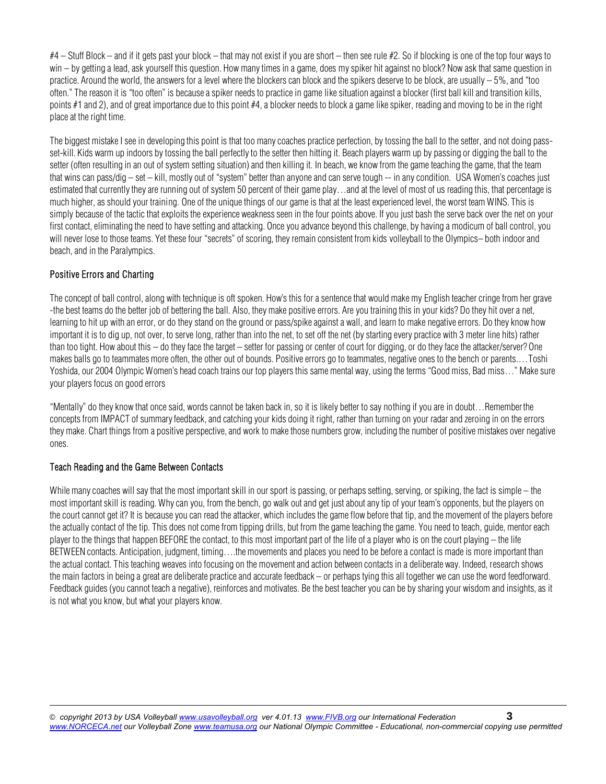$#4$  – Stuff Block – and if it gets past your block – that may not exist if you are short – then see rule  $#2$ . So if blocking is one of the top four ways to win – by getting a lead, ask yourself this question. How many times in a game, does my spiker hit against no block? Now ask that same question in practice. Around the world, the answers for a level where the blockers can block and the spikers deserve to be block, are usually – 5%, and "too often." The reason it is "too often" is because a spiker needs to practice in game like situation against a blocker (first ball kill and transition kills, points #1 and 2), and of great importance due to this point #4, a blocker needs to block a game like spiker, reading and moving to be in the right place at the right time.

The biggest mistake I see in developing this point is that too many coaches practice perfection, by tossing the ball to the setter, and not doing passset-kill. Kids warm up indoors by tossing the ball perfectly to the setter then hitting it. Beach players warm up by passing or digging the ball to the setter (often resulting in an out of system setting situation) and then killing it. In beach, we know from the game teaching the game, that the team that wins can pass/dig – set – kill, mostly out of "system" better than anyone and can serve tough -- in any condition. USA Women's coaches just estimated that currently they are running out of system 50 percent of their game play…and at the level of most of us reading this, that percentage is much higher, as should your training. One of the unique things of our game is that at the least experienced level, the worst team WINS. This is simply because of the tactic that exploits the experience weakness seen in the four points above. If you just bash the serve back over the net on your first contact, eliminating the need to have setting and attacking. Once you advance beyond this challenge, by having a modicum of ball control, you will never lose to those teams. Yet these four "secrets" of scoring, they remain consistent from kids volleyball to the Olympics– both indoor and beach, and in the Paralympics.

# Positive Errors and Charting

The concept of ball control, along with technique is oft spoken. How's this for a sentence that would make my English teacher cringe from her grave -the best teams do the better job of bettering the ball. Also, they make positive errors. Are you training this in your kids? Do they hit over a net, learning to hit up with an error, or do they stand on the ground or pass/spike against a wall, and learn to make negative errors. Do they know how important it is to dig up, not over, to serve long, rather than into the net, to set off the net (by starting every practice with 3 meter line hits) rather than too tight. How about this – do they face the target – setter for passing or center of court for digging, or do they face the attacker/server? One makes balls go to teammates more often, the other out of bounds. Positive errors go to teammates, negative ones to the bench or parents.... Toshi Yoshida, our 2004 Olympic Women's head coach trains our top players this same mental way, using the terms "Good miss, Bad miss..." Make sure your players focus on good errors

"Mentally" do they know that once said, words cannot be taken back in, so it is likely better to say nothing if you are in doubt…Remember the concepts from IMPACT of summary feedback, and catching your kids doing it right, rather than turning on your radar and zeroing in on the errors they make. Chart things from a positive perspective, and work to make those numbers grow, including the number of positive mistakes over negative ones.

## Teach Reading and the Game Between Contacts

While many coaches will say that the most important skill in our sport is passing, or perhaps setting, serving, or spiking, the fact is simple – the most important skill is reading. Why can you, from the bench, go walk out and get just about any tip of your team's opponents, but the players on the court cannot get it? It is because you can read the attacker, which includes the game flow before that tip, and the movement of the players before the actually contact of the tip. This does not come from tipping drills, but from the game teaching the game. You need to teach, guide, mentor each player to the things that happen BEFORE the contact, to this most important part of the life of a player who is on the court playing – the life BETWEEN contacts. Anticipation, judgment, timing….the movements and places you need to be before a contact is made is more important than the actual contact. This teaching weaves into focusing on the movement and action between contacts in a deliberate way. Indeed, research shows the main factors in being a great are deliberate practice and accurate feedback – or perhaps tying this all together we can use the word feedforward. Feedback guides (you cannot teach a negative), reinforces and motivates. Be the best teacher you can be by sharing your wisdom and insights, as it is not what you know, but what your players know.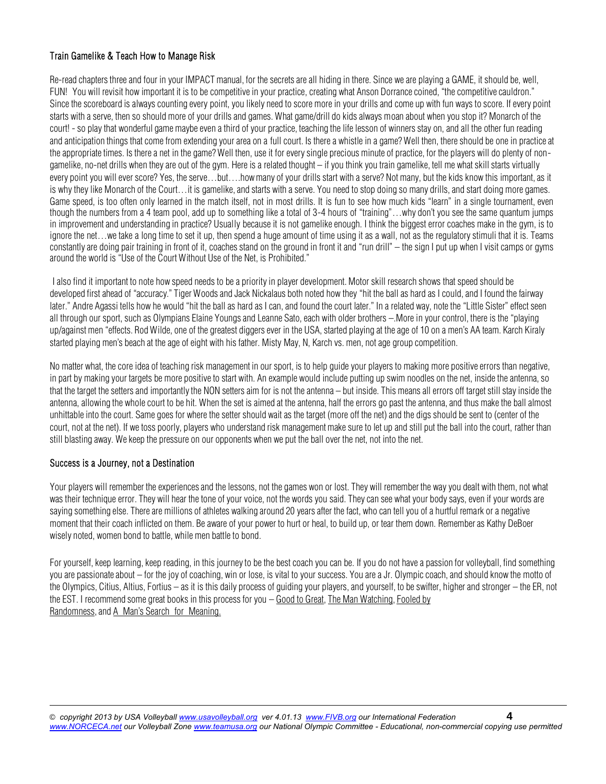## Train Gamelike & Teach How to Manage Risk

Re-read chapters three and four in your IMPACT manual, for the secrets are all hiding in there. Since we are playing a GAME, it should be, well, FUN! You will revisit how important it is to be competitive in your practice, creating what Anson Dorrance coined, "the competitive cauldron." Since the scoreboard is always counting every point, you likely need to score more in your drills and come up with fun ways to score. If every point starts with a serve, then so should more of your drills and games. What game/drill do kids always moan about when you stop it? Monarch of the court! - so play that wonderful game maybe even a third of your practice, teaching the life lesson of winners stay on, and all the other fun reading and anticipation things that come from extending your area on a full court. Is there a whistle in a game? Well then, there should be one in practice at the appropriate times. Is there a net in the game? Well then, use it for every single precious minute of practice, for the players will do plenty of nongamelike, no-net drills when they are out of the gym. Here is a related thought – if you think you train gamelike, tell me what skill starts virtually every point you will ever score? Yes, the serve…but….how many of your drills start with a serve? Not many, but the kids know this important, as it is why they like Monarch of the Court…it is gamelike, and starts with a serve. You need to stop doing so many drills, and start doing more games. Game speed, is too often only learned in the match itself, not in most drills. It is fun to see how much kids "learn" in a single tournament, even though the numbers from a 4 team pool, add up to something like a total of 3-4 hours of "training"…why don't you see the same quantum jumps in improvement and understanding in practice? Usually because it is not gamelike enough. I think the biggest error coaches make in the gym, is to ignore the net…we take a long time to set it up, then spend a huge amount of time using it as a wall, not as the regulatory stimuli that it is. Teams constantly are doing pair training in front of it, coaches stand on the ground in front it and "run drill" – the sign I put up when I visit camps or gyms around the world is "Use of the Court Without Use of the Net, is Prohibited."

I also find it important to note how speed needs to be a priority in player development. Motor skill research shows that speed should be developed first ahead of "accuracy." Tiger Woods and Jack Nickalaus both noted how they "hit the ball as hard as I could, and I found the fairway later." Andre Agassi tells how he would "hit the ball as hard as I can, and found the court later." In a related way, note the "Little Sister" effect seen all through our sport, such as Olympians Elaine Youngs and Leanne Sato, each with older brothers –.More in your control, there is the "playing up/against men "effects. Rod Wilde, one of the greatest diggers ever in the USA, started playing at the age of 10 on a men's AA team. Karch Kiraly started playing men's beach at the age of eight with his father. Misty May, N, Karch vs. men, not age group competition.

No matter what, the core idea of teaching risk management in our sport, is to help guide your players to making more positive errors than negative, in part by making your targets be more positive to start with. An example would include putting up swim noodles on the net, inside the antenna, so that the target the setters and importantly the NON setters aim for is not the antenna – but inside. This means all errors off target still stay inside the antenna, allowing the whole court to be hit. When the set is aimed at the antenna, half the errors go past the antenna, and thus make the ball almost unhittable into the court. Same goes for where the setter should wait as the target (more off the net) and the digs should be sent to (center of the court, not at the net). If we toss poorly, players who understand risk management make sure to let up and still put the ball into the court, rather than still blasting away. We keep the pressure on our opponents when we put the ball over the net, not into the net.

## Success is a Journey, not a Destination

Your players will remember the experiences and the lessons, not the games won or lost. They will remember the way you dealt with them, not what was their technique error. They will hear the tone of your voice, not the words you said. They can see what your body says, even if your words are saying something else. There are millions of athletes walking around 20 years after the fact, who can tell you of a hurtful remark or a negative moment that their coach inflicted on them. Be aware of your power to hurt or heal, to build up, or tear them down. Remember as Kathy DeBoer wisely noted, women bond to battle, while men battle to bond.

For yourself, keep learning, keep reading, in this journey to be the best coach you can be. If you do not have a passion for volleyball, find something you are passionate about – for the joy of coaching, win or lose, is vital to your success. You are a Jr. Olympic coach, and should know the motto of the Olympics, Citius, Altius, Fortius – as it is this daily process of guiding your players, and yourself, to be swifter, higher and stronger – the ER, not the EST. I recommend some great books in this process for you – Good to Great, The Man Watching, Fooled by Randomness, and A Man's Search for Meaning.